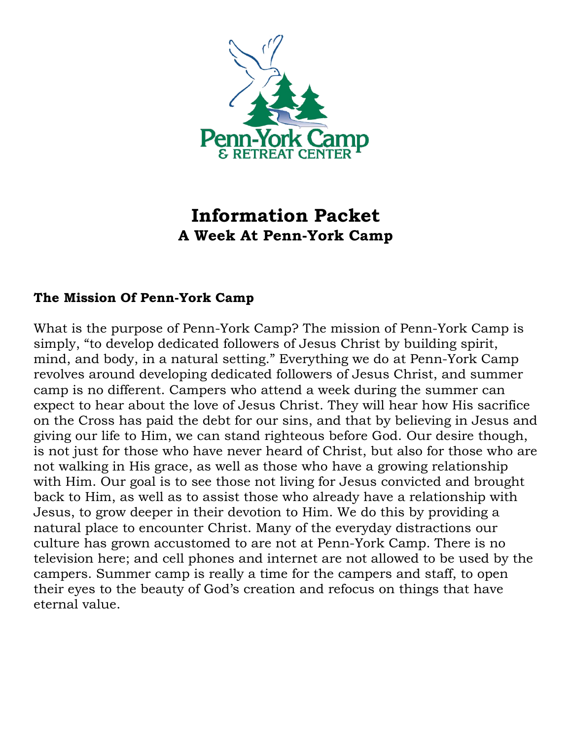

# **Information Packet A Week At Penn-York Camp**

#### **The Mission Of Penn-York Camp**

What is the purpose of Penn-York Camp? The mission of Penn-York Camp is simply, "to develop dedicated followers of Jesus Christ by building spirit, mind, and body, in a natural setting." Everything we do at Penn-York Camp revolves around developing dedicated followers of Jesus Christ, and summer camp is no different. Campers who attend a week during the summer can expect to hear about the love of Jesus Christ. They will hear how His sacrifice on the Cross has paid the debt for our sins, and that by believing in Jesus and giving our life to Him, we can stand righteous before God. Our desire though, is not just for those who have never heard of Christ, but also for those who are not walking in His grace, as well as those who have a growing relationship with Him. Our goal is to see those not living for Jesus convicted and brought back to Him, as well as to assist those who already have a relationship with Jesus, to grow deeper in their devotion to Him. We do this by providing a natural place to encounter Christ. Many of the everyday distractions our culture has grown accustomed to are not at Penn-York Camp. There is no television here; and cell phones and internet are not allowed to be used by the campers. Summer camp is really a time for the campers and staff, to open their eyes to the beauty of God's creation and refocus on things that have eternal value.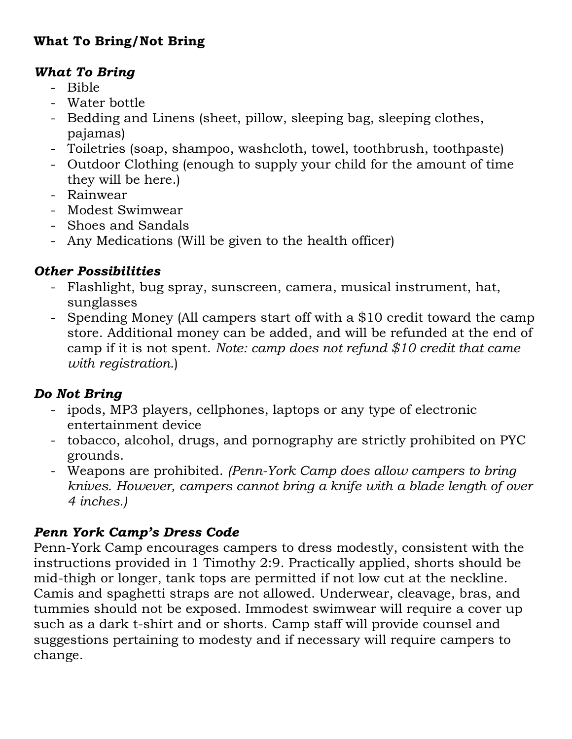## **What To Bring/Not Bring**

### *What To Bring*

- Bible
- Water bottle
- Bedding and Linens (sheet, pillow, sleeping bag, sleeping clothes, pajamas)
- Toiletries (soap, shampoo, washcloth, towel, toothbrush, toothpaste)
- Outdoor Clothing (enough to supply your child for the amount of time they will be here.)
- Rainwear
- Modest Swimwear
- Shoes and Sandals
- Any Medications (Will be given to the health officer)

## *Other Possibilities*

- Flashlight, bug spray, sunscreen, camera, musical instrument, hat, sunglasses
- Spending Money (All campers start off with a \$10 credit toward the camp store. Additional money can be added, and will be refunded at the end of camp if it is not spent. *Note: camp does not refund \$10 credit that came with registration.*)

## *Do Not Bring*

- ipods, MP3 players, cellphones, laptops or any type of electronic entertainment device
- tobacco, alcohol, drugs, and pornography are strictly prohibited on PYC grounds.
- Weapons are prohibited. *(Penn-York Camp does allow campers to bring knives. However, campers cannot bring a knife with a blade length of over 4 inches.)*

## *Penn York Camp's Dress Code*

Penn-York Camp encourages campers to dress modestly, consistent with the instructions provided in 1 Timothy 2:9. Practically applied, shorts should be mid-thigh or longer, tank tops are permitted if not low cut at the neckline. Camis and spaghetti straps are not allowed. Underwear, cleavage, bras, and tummies should not be exposed. Immodest swimwear will require a cover up such as a dark t-shirt and or shorts. Camp staff will provide counsel and suggestions pertaining to modesty and if necessary will require campers to change.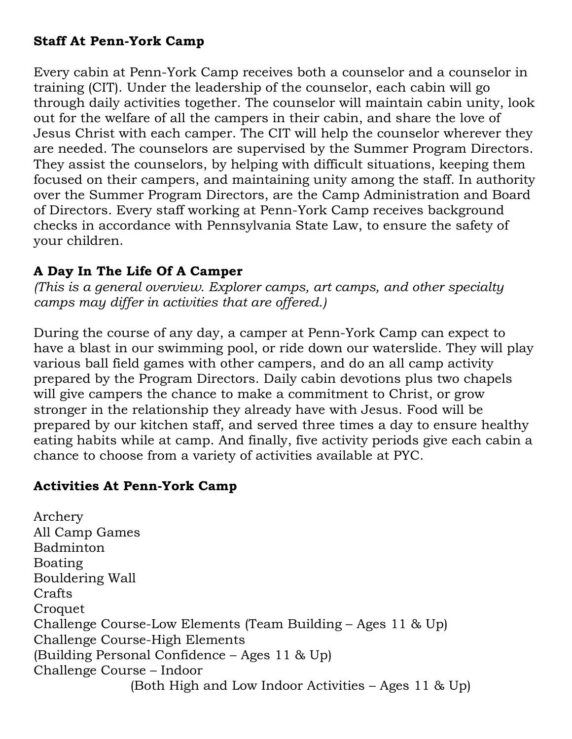#### **Staff At Penn-York Camp**

Every cabin at Penn-York Camp receives both a counselor and a counselor in training (CIT). Under the leadership of the counselor, each cabin will go through daily activities together. The counselor will maintain cabin unity, look out for the welfare of all the campers in their cabin, and share the love of Jesus Christ with each camper. The CIT will help the counselor wherever they are needed. The counselors are supervised by the Summer Program Directors. They assist the counselors, by helping with difficult situations, keeping them focused on their campers, and maintaining unity among the staff. In authority over the Summer Program Directors, are the Camp Administration and Board of Directors. Every staff working at Penn-York Camp receives background checks in accordance with Pennsylvania State Law, to ensure the safety of your children.

## **A Day In The Life Of A Camper**

*(This is a general overview. Explorer camps, art camps, and other specialty camps may differ in activities that are offered.)*

During the course of any day, a camper at Penn-York Camp can expect to have a blast in our swimming pool, or ride down our waterslide. They will play various ball field games with other campers, and do an all camp activity prepared by the Program Directors. Daily cabin devotions plus two chapels will give campers the chance to make a commitment to Christ, or grow stronger in the relationship they already have with Jesus. Food will be prepared by our kitchen staff, and served three times a day to ensure healthy eating habits while at camp. And finally, five activity periods give each cabin a chance to choose from a variety of activities available at PYC.

## **Activities At Penn-York Camp**

Archery All Camp Games Badminton Boating Bouldering Wall Crafts **Croquet** Challenge Course-Low Elements (Team Building – Ages 11 & Up) Challenge Course-High Elements (Building Personal Confidence – Ages 11 & Up) Challenge Course – Indoor (Both High and Low Indoor Activities – Ages 11 & Up)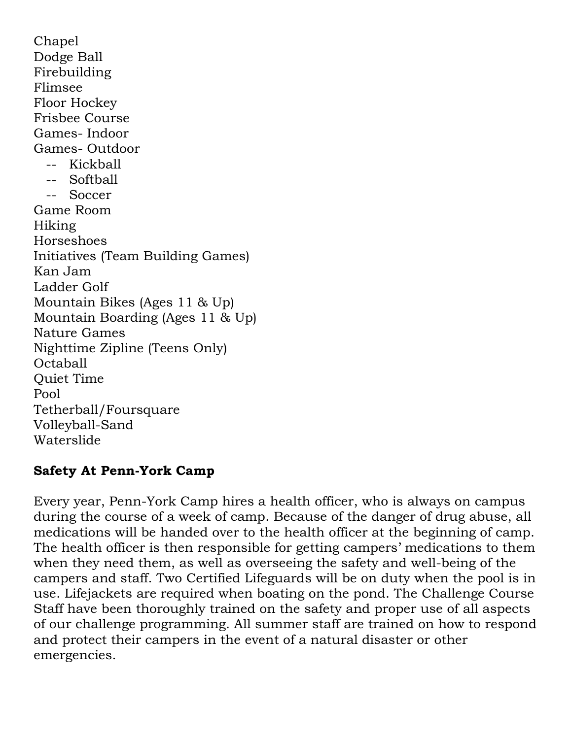Chapel Dodge Ball Firebuilding Flimsee Floor Hockey Frisbee Course Games- Indoor Games- Outdoor -- Kickball -- Softball -- Soccer Game Room Hiking Horseshoes Initiatives (Team Building Games) Kan Jam Ladder Golf Mountain Bikes (Ages 11 & Up) Mountain Boarding (Ages 11 & Up) Nature Games Nighttime Zipline (Teens Only) Octaball Quiet Time Pool Tetherball/Foursquare Volleyball-Sand Waterslide

## **Safety At Penn-York Camp**

Every year, Penn-York Camp hires a health officer, who is always on campus during the course of a week of camp. Because of the danger of drug abuse, all medications will be handed over to the health officer at the beginning of camp. The health officer is then responsible for getting campers' medications to them when they need them, as well as overseeing the safety and well-being of the campers and staff. Two Certified Lifeguards will be on duty when the pool is in use. Lifejackets are required when boating on the pond. The Challenge Course Staff have been thoroughly trained on the safety and proper use of all aspects of our challenge programming. All summer staff are trained on how to respond and protect their campers in the event of a natural disaster or other emergencies.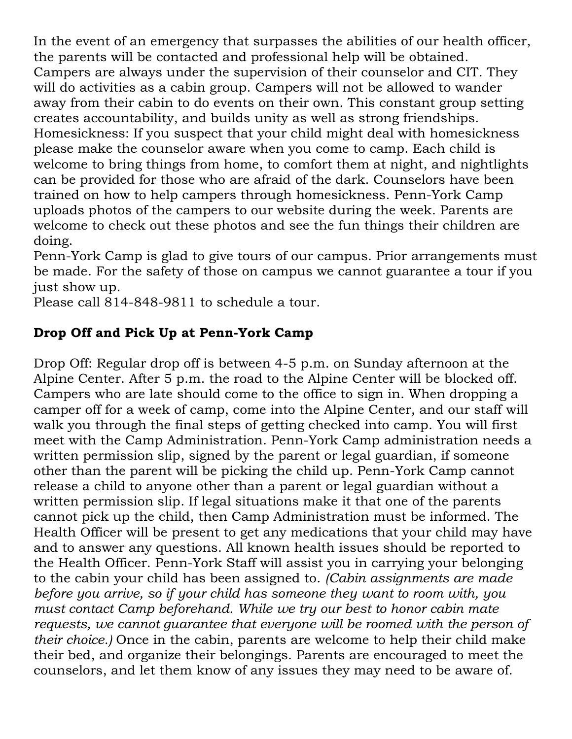In the event of an emergency that surpasses the abilities of our health officer, the parents will be contacted and professional help will be obtained. Campers are always under the supervision of their counselor and CIT. They will do activities as a cabin group. Campers will not be allowed to wander away from their cabin to do events on their own. This constant group setting creates accountability, and builds unity as well as strong friendships. Homesickness: If you suspect that your child might deal with homesickness please make the counselor aware when you come to camp. Each child is welcome to bring things from home, to comfort them at night, and nightlights can be provided for those who are afraid of the dark. Counselors have been trained on how to help campers through homesickness. Penn-York Camp uploads photos of the campers to our website during the week. Parents are welcome to check out these photos and see the fun things their children are doing.

Penn-York Camp is glad to give tours of our campus. Prior arrangements must be made. For the safety of those on campus we cannot guarantee a tour if you just show up.

Please call 814-848-9811 to schedule a tour.

## **Drop Off and Pick Up at Penn-York Camp**

Drop Off: Regular drop off is between 4-5 p.m. on Sunday afternoon at the Alpine Center. After 5 p.m. the road to the Alpine Center will be blocked off. Campers who are late should come to the office to sign in. When dropping a camper off for a week of camp, come into the Alpine Center, and our staff will walk you through the final steps of getting checked into camp. You will first meet with the Camp Administration. Penn-York Camp administration needs a written permission slip, signed by the parent or legal guardian, if someone other than the parent will be picking the child up. Penn-York Camp cannot release a child to anyone other than a parent or legal guardian without a written permission slip. If legal situations make it that one of the parents cannot pick up the child, then Camp Administration must be informed. The Health Officer will be present to get any medications that your child may have and to answer any questions. All known health issues should be reported to the Health Officer. Penn-York Staff will assist you in carrying your belonging to the cabin your child has been assigned to. *(Cabin assignments are made before you arrive, so if your child has someone they want to room with, you must contact Camp beforehand. While we try our best to honor cabin mate requests, we cannot guarantee that everyone will be roomed with the person of their choice.)* Once in the cabin, parents are welcome to help their child make their bed, and organize their belongings. Parents are encouraged to meet the counselors, and let them know of any issues they may need to be aware of.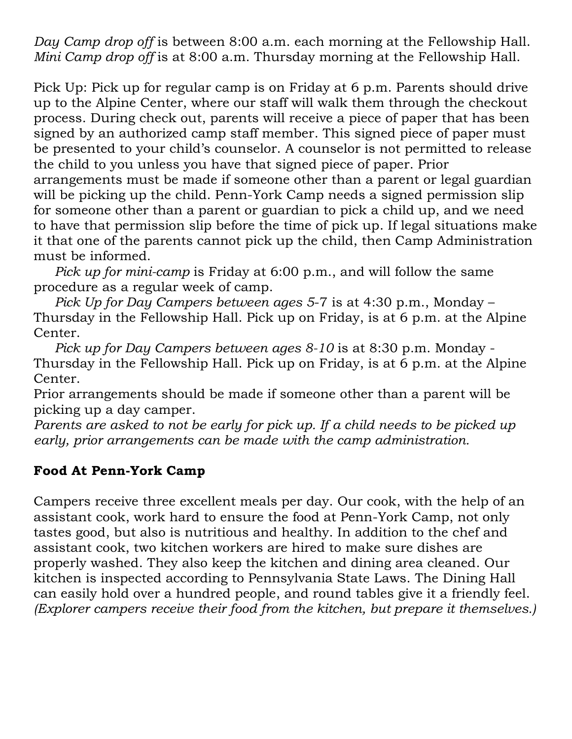*Day Camp drop off* is between 8:00 a.m. each morning at the Fellowship Hall. *Mini Camp drop off* is at 8:00 a.m. Thursday morning at the Fellowship Hall.

Pick Up: Pick up for regular camp is on Friday at 6 p.m. Parents should drive up to the Alpine Center, where our staff will walk them through the checkout process. During check out, parents will receive a piece of paper that has been signed by an authorized camp staff member. This signed piece of paper must be presented to your child's counselor. A counselor is not permitted to release the child to you unless you have that signed piece of paper. Prior

arrangements must be made if someone other than a parent or legal guardian will be picking up the child. Penn-York Camp needs a signed permission slip for someone other than a parent or guardian to pick a child up, and we need to have that permission slip before the time of pick up. If legal situations make it that one of the parents cannot pick up the child, then Camp Administration must be informed.

 *Pick up for mini-camp* is Friday at 6:00 p.m., and will follow the same procedure as a regular week of camp.

 *Pick Up for Day Campers between ages 5*-7 is at 4:30 p.m., Monday – Thursday in the Fellowship Hall. Pick up on Friday, is at 6 p.m. at the Alpine Center.

 *Pick up for Day Campers between ages 8-10* is at 8:30 p.m. Monday - Thursday in the Fellowship Hall. Pick up on Friday, is at 6 p.m. at the Alpine Center.

Prior arrangements should be made if someone other than a parent will be picking up a day camper.

*Parents are asked to not be early for pick up. If a child needs to be picked up early, prior arrangements can be made with the camp administration.*

## **Food At Penn-York Camp**

Campers receive three excellent meals per day. Our cook, with the help of an assistant cook, work hard to ensure the food at Penn-York Camp, not only tastes good, but also is nutritious and healthy. In addition to the chef and assistant cook, two kitchen workers are hired to make sure dishes are properly washed. They also keep the kitchen and dining area cleaned. Our kitchen is inspected according to Pennsylvania State Laws. The Dining Hall can easily hold over a hundred people, and round tables give it a friendly feel. *(Explorer campers receive their food from the kitchen, but prepare it themselves.)*